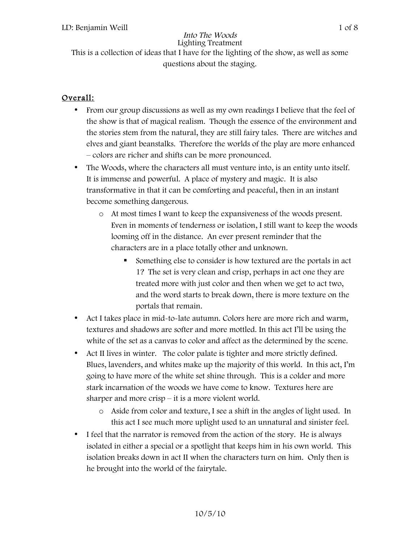This is a collection of ideas that I have for the lighting of the show, as well as some questions about the staging.

## Overall:

- From our group discussions as well as my own readings I believe that the feel of the show is that of magical realism. Though the essence of the environment and the stories stem from the natural, they are still fairy tales. There are witches and elves and giant beanstalks. Therefore the worlds of the play are more enhanced – colors are richer and shifts can be more pronounced.
- The Woods, where the characters all must venture into, is an entity unto itself. It is immense and powerful. A place of mystery and magic. It is also transformative in that it can be comforting and peaceful, then in an instant become something dangerous.
	- o At most times I want to keep the expansiveness of the woods present. Even in moments of tenderness or isolation, I still want to keep the woods looming off in the distance. An ever present reminder that the characters are in a place totally other and unknown.
		- Something else to consider is how textured are the portals in act 1? The set is very clean and crisp, perhaps in act one they are treated more with just color and then when we get to act two, and the word starts to break down, there is more texture on the portals that remain.
- Act I takes place in mid-to-late autumn. Colors here are more rich and warm, textures and shadows are softer and more mottled. In this act I'll be using the white of the set as a canvas to color and affect as the determined by the scene.
- Act II lives in winter. The color palate is tighter and more strictly defined. Blues, lavenders, and whites make up the majority of this world. In this act, I'm going to have more of the white set shine through. This is a colder and more stark incarnation of the woods we have come to know. Textures here are sharper and more crisp – it is a more violent world.
	- o Aside from color and texture, I see a shift in the angles of light used. In this act I see much more uplight used to an unnatural and sinister feel.
- I feel that the narrator is removed from the action of the story. He is always isolated in either a special or a spotlight that keeps him in his own world. This isolation breaks down in act II when the characters turn on him. Only then is he brought into the world of the fairytale.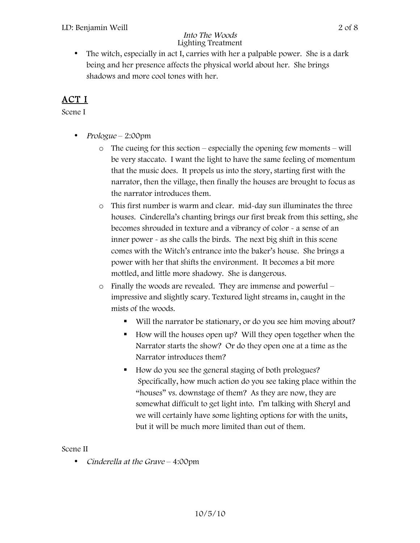• The witch, especially in act I, carries with her a palpable power. She is a dark being and her presence affects the physical world about her. She brings shadows and more cool tones with her.

## ACT I

Scene I

- Prologue 2:00pm
	- o The cueing for this section especially the opening few moments will be very staccato. I want the light to have the same feeling of momentum that the music does. It propels us into the story, starting first with the narrator, then the village, then finally the houses are brought to focus as the narrator introduces them.
	- o This first number is warm and clear. mid-day sun illuminates the three houses. Cinderella's chanting brings our first break from this setting, she becomes shrouded in texture and a vibrancy of color - a sense of an inner power - as she calls the birds. The next big shift in this scene comes with the Witch's entrance into the baker's house. She brings a power with her that shifts the environment. It becomes a bit more mottled, and little more shadowy. She is dangerous.
	- o Finally the woods are revealed. They are immense and powerful impressive and slightly scary. Textured light streams in, caught in the mists of the woods.
		- Will the narrator be stationary, or do you see him moving about?
		- How will the houses open up? Will they open together when the Narrator starts the show? Or do they open one at a time as the Narrator introduces them?
		- How do you see the general staging of both prologues? Specifically, how much action do you see taking place within the "houses" vs. downstage of them? As they are now, they are somewhat difficult to get light into. I'm talking with Sheryl and we will certainly have some lighting options for with the units, but it will be much more limited than out of them.

### Scene II

• Cinderella at the Grave – 4:00pm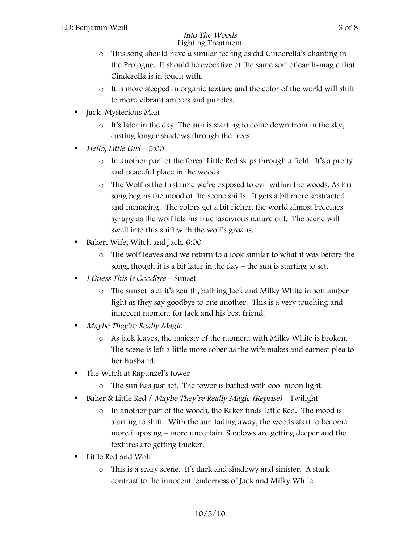- o This song should have a similar feeling as did Cinderella's chanting in the Prologue. It should be evocative of the same sort of earth-magic that Cinderella is in touch with.
- o It is more steeped in organic texture and the color of the world will shift to more vibrant ambers and purples.
- Jack Mysterious Man
	- o It's later in the day. The sun is starting to come down from in the sky, casting longer shadows through the trees.
- Hello, Little Girl 5:00
	- o In another part of the forest Little Red skips through a field. It's a pretty and peaceful place in the woods.
	- o The Wolf is the first time we're exposed to evil within the woods. As his song begins the mood of the scene shifts. It gets a bit more abstracted and menacing. The colors get a bit richer. the world almost becomes syrupy as the wolf lets his true lascivious nature out. The scene will swell into this shift with the wolf's groans.
- Baker, Wife, Witch and Jack. 6:00
	- o The wolf leaves and we return to a look similar to what it was before the song, though it is a bit later in the day – the sun is starting to set.
- I Guess This Is Goodbye Sunset
	- o The sunset is at it's zenith, bathing Jack and Milky White in soft amber light as they say goodbye to one another. This is a very touching and innocent moment for Jack and his best friend.
- Maybe They're Really Magic
	- o As jack leaves, the majesty of the moment with Milky White is broken. The scene is left a little more sober as the wife makes and earnest plea to her husband.
- The Witch at Rapunzel's tower
	- o The sun has just set. The tower is bathed with cool moon light.
- Baker & Little Red / Maybe They're Really Magic (Reprise) Twilight
	- o In another part of the woods, the Baker finds Little Red. The mood is starting to shift. With the sun fading away, the woods start to become more imposing – more uncertain. Shadows are getting deeper and the textures are getting thicker.
- Little Red and Wolf
	- o This is a scary scene. It's dark and shadowy and sinister. A stark contrast to the innocent tenderness of Jack and Milky White.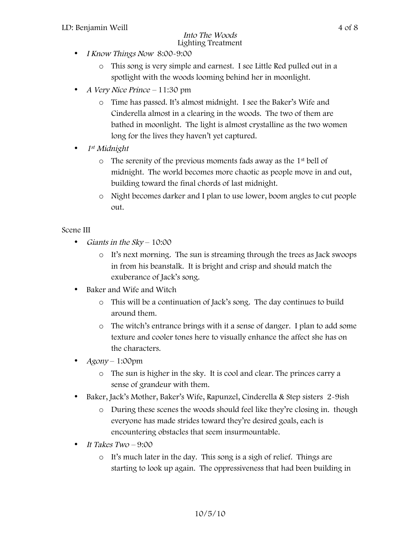- I Know Things Now 8:00-9:00
	- o This song is very simple and earnest. I see Little Red pulled out in a spotlight with the woods looming behind her in moonlight.
- A Very Nice Prince 11:30 pm
	- o Time has passed. It's almost midnight. I see the Baker's Wife and Cinderella almost in a clearing in the woods. The two of them are bathed in moonlight. The light is almost crystalline as the two women long for the lives they haven't yet captured.
- 1st Midnight
	- o The serenity of the previous moments fads away as the 1st bell of midnight. The world becomes more chaotic as people move in and out, building toward the final chords of last midnight.
	- o Night becomes darker and I plan to use lower, boom angles to cut people out.

### Scene III

- Giants in the Sky 10:00
	- o It's next morning. The sun is streaming through the trees as Jack swoops in from his beanstalk. It is bright and crisp and should match the exuberance of Jack's song.
- Baker and Wife and Witch
	- o This will be a continuation of Jack's song. The day continues to build around them.
	- o The witch's entrance brings with it a sense of danger. I plan to add some texture and cooler tones here to visually enhance the affect she has on the characters.
- $Agony 1:00pm$ 
	- o The sun is higher in the sky. It is cool and clear. The princes carry a sense of grandeur with them.
- Baker, Jack's Mother, Baker's Wife, Rapunzel, Cinderella & Step sisters 2-9ish
	- o During these scenes the woods should feel like they're closing in. though everyone has made strides toward they're desired goals, each is encountering obstacles that seem insurmountable.
- It Takes  $Two-9:00$ 
	- o It's much later in the day. This song is a sigh of relief. Things are starting to look up again. The oppressiveness that had been building in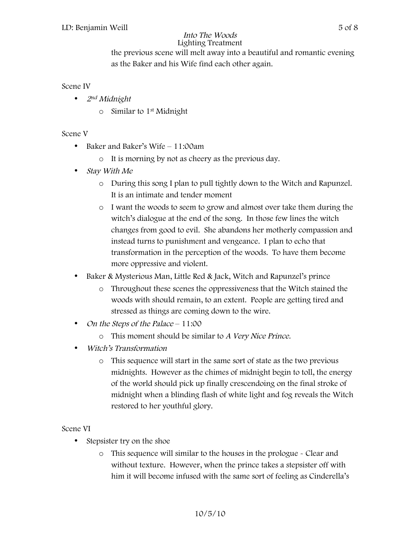the previous scene will melt away into a beautiful and romantic evening as the Baker and his Wife find each other again.

### Scene IV

- 2<sup>nd</sup> Midnight
	- $\circ$  Similar to 1<sup>st</sup> Midnight

### Scene V

- Baker and Baker's Wife 11:00am
	- o It is morning by not as cheery as the previous day.
- Stay With Me
	- o During this song I plan to pull tightly down to the Witch and Rapunzel. It is an intimate and tender moment
	- o I want the woods to seem to grow and almost over take them during the witch's dialogue at the end of the song. In those few lines the witch changes from good to evil. She abandons her motherly compassion and instead turns to punishment and vengeance. I plan to echo that transformation in the perception of the woods. To have them become more oppressive and violent.
- Baker & Mysterious Man, Little Red & Jack, Witch and Rapunzel's prince
	- o Throughout these scenes the oppressiveness that the Witch stained the woods with should remain, to an extent. People are getting tired and stressed as things are coming down to the wire.
- On the Steps of the Palace 11:00
	- o This moment should be similar to A Very Nice Prince.
- Witch's Transformation
	- o This sequence will start in the same sort of state as the two previous midnights. However as the chimes of midnight begin to toll, the energy of the world should pick up finally crescendoing on the final stroke of midnight when a blinding flash of white light and fog reveals the Witch restored to her youthful glory.

### Scene VI

- Stepsister try on the shoe
	- o This sequence will similar to the houses in the prologue Clear and without texture. However, when the prince takes a stepsister off with him it will become infused with the same sort of feeling as Cinderella's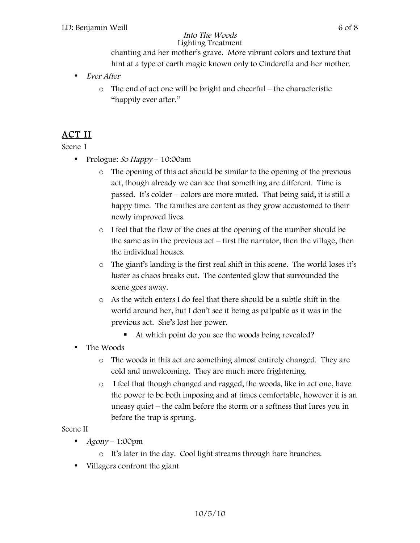chanting and her mother's grave. More vibrant colors and texture that hint at a type of earth magic known only to Cinderella and her mother.

- Ever After
	- o The end of act one will be bright and cheerful the characteristic "happily ever after."

# ACT II

Scene 1

- Prologue: So Happy 10:00am
	- o The opening of this act should be similar to the opening of the previous act, though already we can see that something are different. Time is passed. It's colder – colors are more muted. That being said, it is still a happy time. The families are content as they grow accustomed to their newly improved lives.
	- o I feel that the flow of the cues at the opening of the number should be the same as in the previous act – first the narrator, then the village, then the individual houses.
	- o The giant's landing is the first real shift in this scene. The world loses it's luster as chaos breaks out. The contented glow that surrounded the scene goes away.
	- o As the witch enters I do feel that there should be a subtle shift in the world around her, but I don't see it being as palpable as it was in the previous act. She's lost her power.
		- At which point do you see the woods being revealed?
- The Woods
	- o The woods in this act are something almost entirely changed. They are cold and unwelcoming. They are much more frightening.
	- o I feel that though changed and ragged, the woods, like in act one, have the power to be both imposing and at times comfortable, however it is an uneasy quiet – the calm before the storm or a softness that lures you in before the trap is sprung.

### Scene II

- $Agony 1:00pm$ 
	- o It's later in the day. Cool light streams through bare branches.
- Villagers confront the giant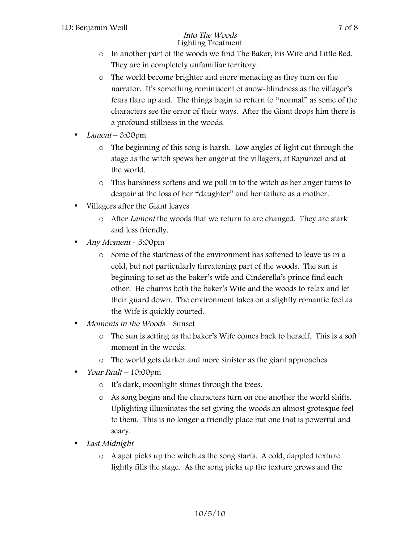- o In another part of the woods we find The Baker, his Wife and Little Red. They are in completely unfamiliar territory.
- o The world become brighter and more menacing as they turn on the narrator. It's something reminiscent of snow-blindness as the villager's fears flare up and. The things begin to return to "normal" as some of the characters see the error of their ways. After the Giant drops him there is a profound stillness in the woods.
- Lament 3:00pm
	- o The beginning of this song is harsh. Low angles of light cut through the stage as the witch spews her anger at the villagers, at Rapunzel and at the world.
	- o This harshness softens and we pull in to the witch as her anger turns to despair at the loss of her "daughter" and her failure as a mother.
- Villagers after the Giant leaves
	- o After Lament the woods that we return to are changed. They are stark and less friendly.
- Any Moment ~ 5:00pm
	- o Some of the starkness of the environment has softened to leave us in a cold, but not particularly threatening part of the woods. The sun is beginning to set as the baker's wife and Cinderella's prince find each other. He charms both the baker's Wife and the woods to relax and let their guard down. The environment takes on a slightly romantic feel as the Wife is quickly courted.
- Moments in the Woods Sunset
	- o The sun is setting as the baker's Wife comes back to herself. This is a soft moment in the woods.
	- o The world gets darker and more sinister as the giant approaches
- Your Fault  $10:00$ pm
	- o It's dark, moonlight shines through the trees.
	- o As song begins and the characters turn on one another the world shifts. Uplighting illuminates the set giving the woods an almost grotesque feel to them. This is no longer a friendly place but one that is powerful and scary.
- Last Midnight
	- o A spot picks up the witch as the song starts. A cold, dappled texture lightly fills the stage. As the song picks up the texture grows and the